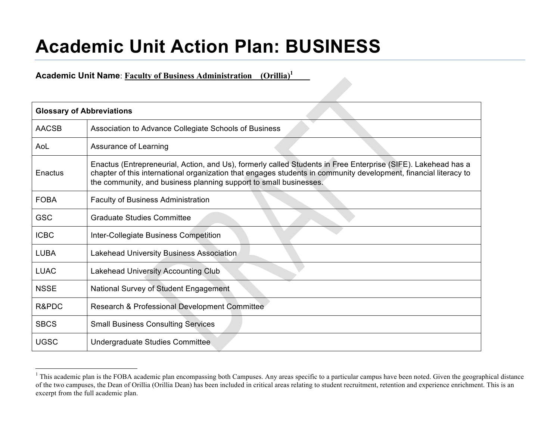## **Academic Unit Action Plan: BUSINESS**

**Academic Unit Name**: **Faculty of Business Administration\_\_(Orillia)1 \_\_\_\_**

|              | <b>Glossary of Abbreviations</b>                                                                                                                                                                                                                                                                       |  |  |  |
|--------------|--------------------------------------------------------------------------------------------------------------------------------------------------------------------------------------------------------------------------------------------------------------------------------------------------------|--|--|--|
| <b>AACSB</b> | Association to Advance Collegiate Schools of Business                                                                                                                                                                                                                                                  |  |  |  |
| AoL          | Assurance of Learning                                                                                                                                                                                                                                                                                  |  |  |  |
| Enactus      | Enactus (Entrepreneurial, Action, and Us), formerly called Students in Free Enterprise (SIFE). Lakehead has a<br>chapter of this international organization that engages students in community development, financial literacy to<br>the community, and business planning support to small businesses. |  |  |  |
| <b>FOBA</b>  | <b>Faculty of Business Administration</b>                                                                                                                                                                                                                                                              |  |  |  |
| <b>GSC</b>   | <b>Graduate Studies Committee</b>                                                                                                                                                                                                                                                                      |  |  |  |
| <b>ICBC</b>  | Inter-Collegiate Business Competition                                                                                                                                                                                                                                                                  |  |  |  |
| <b>LUBA</b>  | Lakehead University Business Association                                                                                                                                                                                                                                                               |  |  |  |
| <b>LUAC</b>  | Lakehead University Accounting Club                                                                                                                                                                                                                                                                    |  |  |  |
| <b>NSSE</b>  | National Survey of Student Engagement                                                                                                                                                                                                                                                                  |  |  |  |
| R&PDC        | Research & Professional Development Committee                                                                                                                                                                                                                                                          |  |  |  |
| <b>SBCS</b>  | <b>Small Business Consulting Services</b>                                                                                                                                                                                                                                                              |  |  |  |
| <b>UGSC</b>  | Undergraduate Studies Committee                                                                                                                                                                                                                                                                        |  |  |  |

<sup>&</sup>lt;sup>1</sup> This academic plan is the FOBA academic plan encompassing both Campuses. Any areas specific to a particular campus have been noted. Given the geographical distance of the two campuses, the Dean of Orillia (Orillia Dean) has been included in critical areas relating to student recruitment, retention and experience enrichment. This is an excerpt from the full academic plan.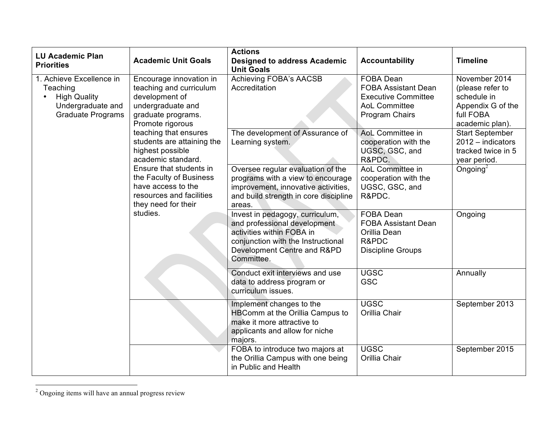| <b>LU Academic Plan</b><br><b>Priorities</b>                                                                 | <b>Academic Unit Goals</b>                                                                                                              | <b>Actions</b><br><b>Designed to address Academic</b><br><b>Unit Goals</b>                                                                                                      | <b>Accountability</b>                                                                                           | <b>Timeline</b>                                                                                       |
|--------------------------------------------------------------------------------------------------------------|-----------------------------------------------------------------------------------------------------------------------------------------|---------------------------------------------------------------------------------------------------------------------------------------------------------------------------------|-----------------------------------------------------------------------------------------------------------------|-------------------------------------------------------------------------------------------------------|
| 1. Achieve Excellence in<br>Teaching<br><b>High Quality</b><br>Undergraduate and<br><b>Graduate Programs</b> | Encourage innovation in<br>teaching and curriculum<br>development of<br>undergraduate and<br>graduate programs.<br>Promote rigorous     | Achieving FOBA's AACSB<br>Accreditation                                                                                                                                         | FOBA Dean<br><b>FOBA Assistant Dean</b><br><b>Executive Committee</b><br><b>AoL Committee</b><br>Program Chairs | November 2014<br>(please refer to<br>schedule in<br>Appendix G of the<br>full FOBA<br>academic plan). |
|                                                                                                              | teaching that ensures<br>students are attaining the<br>highest possible<br>academic standard.                                           | The development of Assurance of<br>Learning system.                                                                                                                             | AoL Committee in<br>cooperation with the<br>UGSC, GSC, and<br>R&PDC.                                            | <b>Start September</b><br>2012 - indicators<br>tracked twice in 5<br>year period.                     |
|                                                                                                              | Ensure that students in<br>the Faculty of Business<br>have access to the<br>resources and facilities<br>they need for their<br>studies. | Oversee regular evaluation of the<br>programs with a view to encourage<br>improvement, innovative activities,<br>and build strength in core discipline<br>areas.                | AoL Committee in<br>cooperation with the<br>UGSC, GSC, and<br>R&PDC.                                            | Ongoing $^2$                                                                                          |
|                                                                                                              |                                                                                                                                         | Invest in pedagogy, curriculum,<br>and professional development<br>activities within FOBA in<br>conjunction with the Instructional<br>Development Centre and R&PD<br>Committee. | FOBA Dean<br><b>FOBA Assistant Dean</b><br>Orillia Dean<br>R&PDC<br><b>Discipline Groups</b>                    | Ongoing                                                                                               |
|                                                                                                              |                                                                                                                                         | Conduct exit interviews and use<br>data to address program or<br>curriculum issues.                                                                                             | <b>UGSC</b><br><b>GSC</b>                                                                                       | Annually                                                                                              |
|                                                                                                              |                                                                                                                                         | Implement changes to the<br><b>HBComm at the Orillia Campus to</b><br>make it more attractive to<br>applicants and allow for niche<br>majors.                                   | <b>UGSC</b><br>Orillia Chair                                                                                    | September 2013                                                                                        |
|                                                                                                              |                                                                                                                                         | FOBA to introduce two majors at<br>the Orillia Campus with one being<br>in Public and Health                                                                                    | <b>UGSC</b><br>Orillia Chair                                                                                    | September 2015                                                                                        |

 $\frac{1}{2}$  $2$  Ongoing items will have an annual progress review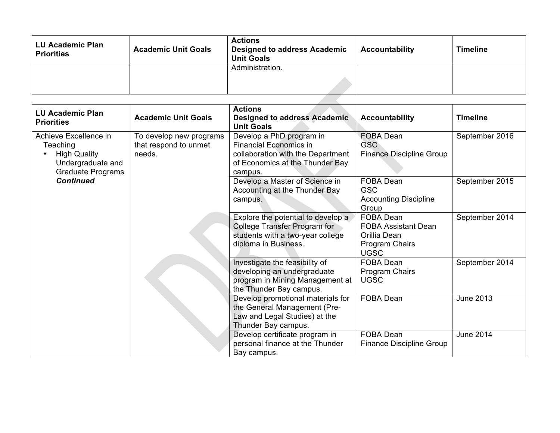| <b>LU Academic Plan</b><br><b>Priorities</b> | <b>Academic Unit Goals</b> | <b>Actions</b><br><b>Designed to address Academic</b><br><b>Unit Goals</b> | <b>Accountability</b> | <b>Timeline</b> |
|----------------------------------------------|----------------------------|----------------------------------------------------------------------------|-----------------------|-----------------|
|                                              |                            | Administration.                                                            |                       |                 |
|                                              |                            |                                                                            |                       |                 |
|                                              |                            |                                                                            |                       |                 |

| <b>LU Academic Plan</b><br><b>Priorities</b>                                                                           | <b>Academic Unit Goals</b>                                 | <b>Actions</b><br><b>Designed to address Academic</b><br><b>Unit Goals</b>                                                                   | <b>Accountability</b>                                                                    | <b>Timeline</b>  |
|------------------------------------------------------------------------------------------------------------------------|------------------------------------------------------------|----------------------------------------------------------------------------------------------------------------------------------------------|------------------------------------------------------------------------------------------|------------------|
| Achieve Excellence in<br>Teaching<br><b>High Quality</b><br>Undergraduate and<br>Graduate Programs<br><b>Continued</b> | To develop new programs<br>that respond to unmet<br>needs. | Develop a PhD program in<br><b>Financial Economics in</b><br>collaboration with the Department<br>of Economics at the Thunder Bay<br>campus. | <b>FOBA Dean</b><br>GSC<br><b>Finance Discipline Group</b>                               | September 2016   |
|                                                                                                                        |                                                            | Develop a Master of Science in<br>Accounting at the Thunder Bay<br>campus.                                                                   | FOBA Dean<br><b>GSC</b><br><b>Accounting Discipline</b><br>Group                         | September 2015   |
|                                                                                                                        |                                                            | Explore the potential to develop a<br>College Transfer Program for<br>students with a two-year college<br>diploma in Business.               | FOBA Dean<br><b>FOBA Assistant Dean</b><br>Orillia Dean<br>Program Chairs<br><b>UGSC</b> | September 2014   |
|                                                                                                                        |                                                            | Investigate the feasibility of<br>developing an undergraduate<br>program in Mining Management at<br>the Thunder Bay campus.                  | <b>FOBA Dean</b><br>Program Chairs<br><b>UGSC</b>                                        | September 2014   |
|                                                                                                                        |                                                            | Develop promotional materials for<br>the General Management (Pre-<br>Law and Legal Studies) at the<br>Thunder Bay campus.                    | FOBA Dean                                                                                | <b>June 2013</b> |
|                                                                                                                        |                                                            | Develop certificate program in<br>personal finance at the Thunder<br>Bay campus.                                                             | FOBA Dean<br><b>Finance Discipline Group</b>                                             | <b>June 2014</b> |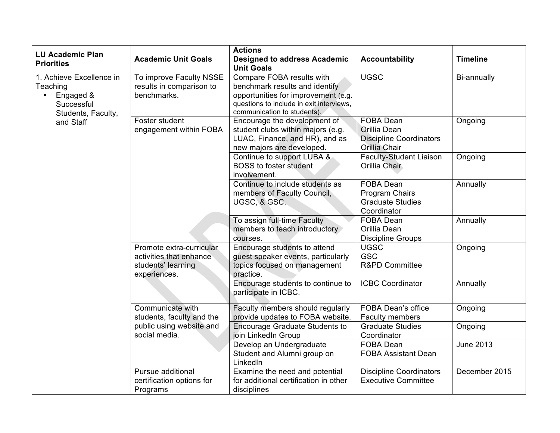| <b>LU Academic Plan</b><br><b>Priorities</b>                                                       | <b>Academic Unit Goals</b>                                                                | <b>Actions</b><br><b>Designed to address Academic</b><br><b>Unit Goals</b>                                                                                                    | <b>Accountability</b>                                                               | <b>Timeline</b>  |
|----------------------------------------------------------------------------------------------------|-------------------------------------------------------------------------------------------|-------------------------------------------------------------------------------------------------------------------------------------------------------------------------------|-------------------------------------------------------------------------------------|------------------|
| 1. Achieve Excellence in<br>Teaching<br>Engaged &<br>$\bullet$<br>Successful<br>Students, Faculty, | To improve Faculty NSSE<br>results in comparison to<br>benchmarks.                        | Compare FOBA results with<br>benchmark results and identify<br>opportunities for improvement (e.g.<br>questions to include in exit interviews,<br>communication to students). | <b>UGSC</b>                                                                         | Bi-annually      |
| and Staff                                                                                          | Foster student<br>engagement within FOBA                                                  | Encourage the development of<br>student clubs within majors (e.g.<br>LUAC, Finance, and HR), and as<br>new majors are developed.                                              | <b>FOBA Dean</b><br>Orillia Dean<br><b>Discipline Coordinators</b><br>Orillia Chair | Ongoing          |
|                                                                                                    |                                                                                           | Continue to support LUBA &<br><b>BOSS</b> to foster student<br>involvement.                                                                                                   | <b>Faculty-Student Liaison</b><br>Orillia Chair                                     | Ongoing          |
|                                                                                                    |                                                                                           | Continue to include students as<br>members of Faculty Council,<br>UGSC, & GSC.                                                                                                | <b>FOBA Dean</b><br>Program Chairs<br><b>Graduate Studies</b><br>Coordinator        | Annually         |
|                                                                                                    |                                                                                           | To assign full-time Faculty<br>members to teach introductory<br>courses.                                                                                                      | FOBA Dean<br>Orillia Dean<br><b>Discipline Groups</b>                               | Annually         |
|                                                                                                    | Promote extra-curricular<br>activities that enhance<br>students' learning<br>experiences. | Encourage students to attend<br>guest speaker events, particularly<br>topics focused on management<br>practice.                                                               | <b>UGSC</b><br><b>GSC</b><br><b>R&amp;PD Committee</b>                              | Ongoing          |
|                                                                                                    |                                                                                           | Encourage students to continue to<br>participate in ICBC.                                                                                                                     | <b>ICBC Coordinator</b>                                                             | Annually         |
|                                                                                                    | Communicate with<br>students, faculty and the                                             | Faculty members should regularly<br>provide updates to FOBA website.                                                                                                          | <b>FOBA Dean's office</b><br><b>Faculty members</b>                                 | Ongoing          |
|                                                                                                    | public using website and<br>social media.                                                 | <b>Encourage Graduate Students to</b><br>join LinkedIn Group                                                                                                                  | <b>Graduate Studies</b><br>Coordinator                                              | Ongoing          |
|                                                                                                    |                                                                                           | Develop an Undergraduate<br>Student and Alumni group on<br>LinkedIn                                                                                                           | FOBA Dean<br><b>FOBA Assistant Dean</b>                                             | <b>June 2013</b> |
|                                                                                                    | Pursue additional<br>certification options for<br>Programs                                | Examine the need and potential<br>for additional certification in other<br>disciplines                                                                                        | <b>Discipline Coordinators</b><br><b>Executive Committee</b>                        | December 2015    |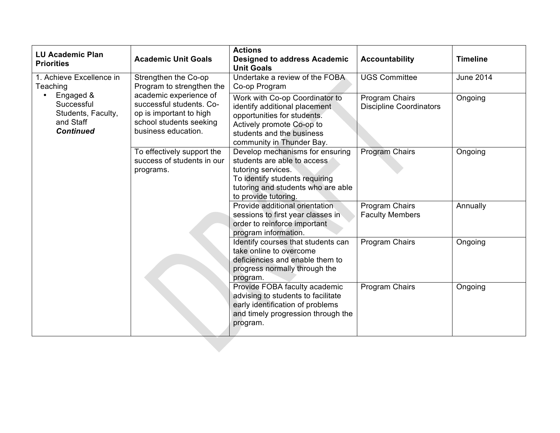| <b>LU Academic Plan</b><br><b>Priorities</b>                                   | <b>Academic Unit Goals</b>                                                                                                      | <b>Actions</b><br><b>Designed to address Academic</b><br><b>Unit Goals</b>                                                                                                            | <b>Accountability</b>                            | <b>Timeline</b>  |
|--------------------------------------------------------------------------------|---------------------------------------------------------------------------------------------------------------------------------|---------------------------------------------------------------------------------------------------------------------------------------------------------------------------------------|--------------------------------------------------|------------------|
| 1. Achieve Excellence in<br>Teaching                                           | Strengthen the Co-op<br>Program to strengthen the                                                                               | Undertake a review of the FOBA<br>Co-op Program                                                                                                                                       | <b>UGS Committee</b>                             | <b>June 2014</b> |
| Engaged &<br>Successful<br>Students, Faculty,<br>and Staff<br><b>Continued</b> | academic experience of<br>successful students. Co-<br>op is important to high<br>school students seeking<br>business education. | Work with Co-op Coordinator to<br>identify additional placement<br>opportunities for students.<br>Actively promote Co-op to<br>students and the business<br>community in Thunder Bay. | Program Chairs<br><b>Discipline Coordinators</b> | Ongoing          |
|                                                                                | To effectively support the<br>success of students in our<br>programs.                                                           | Develop mechanisms for ensuring<br>students are able to access<br>tutoring services.<br>To identify students requiring<br>tutoring and students who are able<br>to provide tutoring.  | Program Chairs                                   | Ongoing          |
|                                                                                |                                                                                                                                 | Provide additional orientation<br>sessions to first year classes in<br>order to reinforce important<br>program information.                                                           | Program Chairs<br><b>Faculty Members</b>         | Annually         |
|                                                                                |                                                                                                                                 | Identify courses that students can<br>take online to overcome<br>deficiencies and enable them to<br>progress normally through the<br>program.                                         | Program Chairs                                   | Ongoing          |
|                                                                                |                                                                                                                                 | Provide FOBA faculty academic<br>advising to students to facilitate<br>early identification of problems<br>and timely progression through the<br>program.                             | Program Chairs                                   | Ongoing          |
|                                                                                |                                                                                                                                 |                                                                                                                                                                                       |                                                  |                  |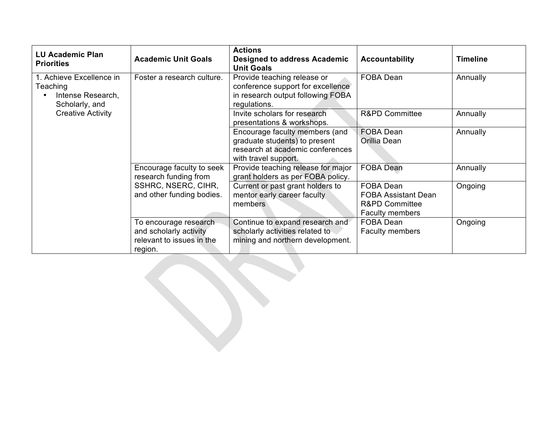| <b>LU Academic Plan</b><br><b>Priorities</b>                                | <b>Academic Unit Goals</b>                                                                             | <b>Actions</b><br><b>Designed to address Academic</b><br><b>Unit Goals</b>                                                  | <b>Accountability</b>                                                                          | <b>Timeline</b> |
|-----------------------------------------------------------------------------|--------------------------------------------------------------------------------------------------------|-----------------------------------------------------------------------------------------------------------------------------|------------------------------------------------------------------------------------------------|-----------------|
| 1. Achieve Excellence in<br>Teaching<br>Intense Research,<br>Scholarly, and | Foster a research culture.                                                                             | Provide teaching release or<br>conference support for excellence<br>in research output following FOBA<br>regulations.       | FOBA Dean                                                                                      | Annually        |
| <b>Creative Activity</b>                                                    |                                                                                                        | Invite scholars for research<br>presentations & workshops.                                                                  | <b>R&amp;PD Committee</b>                                                                      | Annually        |
|                                                                             |                                                                                                        | Encourage faculty members (and<br>graduate students) to present<br>research at academic conferences<br>with travel support. | FOBA Dean<br>Orillia Dean                                                                      | Annually        |
|                                                                             | Encourage faculty to seek<br>research funding from<br>SSHRC, NSERC, CIHR,<br>and other funding bodies. | Provide teaching release for major<br>grant holders as per FOBA policy.                                                     | <b>FOBA Dean</b>                                                                               | Annually        |
|                                                                             |                                                                                                        | Current or past grant holders to<br>mentor early career faculty<br>members                                                  | FOBA Dean<br><b>FOBA Assistant Dean</b><br><b>R&amp;PD Committee</b><br><b>Faculty members</b> | Ongoing         |
|                                                                             | To encourage research<br>and scholarly activity<br>relevant to issues in the<br>region.                | Continue to expand research and<br>scholarly activities related to<br>mining and northern development.                      | FOBA Dean<br><b>Faculty members</b>                                                            | Ongoing         |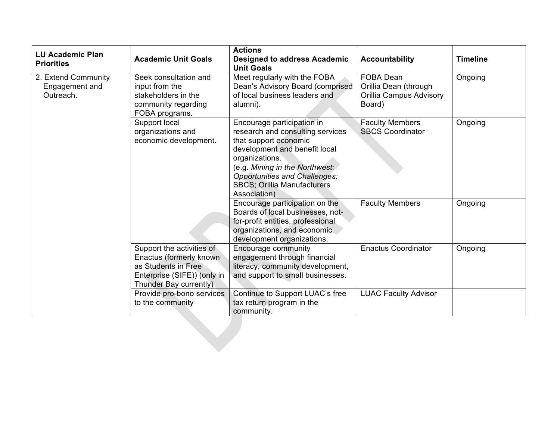| <b>LU Academic Plan</b><br><b>Priorities</b>       | <b>Academic Unit Goals</b>                                                                                                           | <b>Actions</b><br><b>Designed to address Academic</b><br><b>Unit Goals</b>                                                                                                                                                                                          | <b>Accountability</b>                                                          | <b>Timeline</b> |
|----------------------------------------------------|--------------------------------------------------------------------------------------------------------------------------------------|---------------------------------------------------------------------------------------------------------------------------------------------------------------------------------------------------------------------------------------------------------------------|--------------------------------------------------------------------------------|-----------------|
| 2. Extend Community<br>Engagement and<br>Outreach. | Seek consultation and<br>input from the<br>stakeholders in the<br>community regarding<br>FOBA programs.                              | Meet regularly with the FOBA<br>Dean's Advisory Board (comprised<br>of local business leaders and<br>alumni).                                                                                                                                                       | <b>FOBA Dean</b><br>Orillia Dean (through<br>Orillia Campus Advisory<br>Board) | Ongoing         |
|                                                    | Support local<br>organizations and<br>economic development.                                                                          | Encourage participation in<br>research and consulting services<br>that support economic<br>development and benefit local<br>organizations.<br>(e.g. Mining in the Northwest:<br>Opportunities and Challenges;<br><b>SBCS; Orillia Manufacturers</b><br>Association) | <b>Faculty Members</b><br><b>SBCS Coordinator</b>                              | Ongoing         |
|                                                    |                                                                                                                                      | Encourage participation on the<br>Boards of local businesses, not-<br>for-profit entities, professional<br>organizations, and economic<br>development organizations.                                                                                                | <b>Faculty Members</b>                                                         | Ongoing         |
|                                                    | Support the activities of<br>Enactus (formerly known<br>as Students in Free<br>Enterprise (SIFE)) (only in<br>Thunder Bay currently) | Encourage community<br>engagement through financial<br>literacy, community development,<br>and support to small businesses.                                                                                                                                         | <b>Enactus Coordinator</b>                                                     | Ongoing         |
|                                                    | Provide pro-bono services<br>to the community                                                                                        | Continue to Support LUAC's free<br>tax return program in the<br>community.                                                                                                                                                                                          | <b>LUAC Faculty Advisor</b>                                                    |                 |
|                                                    |                                                                                                                                      |                                                                                                                                                                                                                                                                     |                                                                                |                 |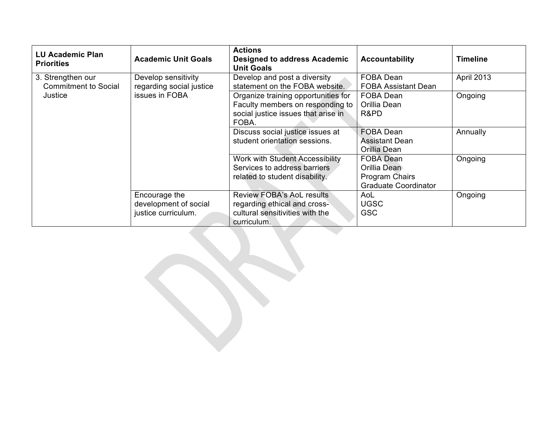| <b>LU Academic Plan</b><br><b>Priorities</b> | <b>Academic Unit Goals</b>                                    | <b>Actions</b><br><b>Designed to address Academic</b><br><b>Unit Goals</b>                                              | <b>Accountability</b>                                                      | <b>Timeline</b> |
|----------------------------------------------|---------------------------------------------------------------|-------------------------------------------------------------------------------------------------------------------------|----------------------------------------------------------------------------|-----------------|
| 3. Strengthen our<br>Commitment to Social    | Develop sensitivity<br>regarding social justice               | Develop and post a diversity<br>statement on the FOBA website.                                                          | FOBA Dean<br><b>FOBA Assistant Dean</b>                                    | April 2013      |
| Justice                                      | issues in FOBA                                                | Organize training opportunities for<br>Faculty members on responding to<br>social justice issues that arise in<br>FOBA. | FOBA Dean<br>Orillia Dean<br>R&PD                                          | Ongoing         |
|                                              |                                                               | Discuss social justice issues at<br>student orientation sessions.                                                       | <b>FOBA Dean</b><br>Assistant Dean<br>Orillia Dean                         | Annually        |
|                                              |                                                               | Work with Student Accessibility<br>Services to address barriers<br>related to student disability.                       | FOBA Dean<br>Orillia Dean<br>Program Chairs<br><b>Graduate Coordinator</b> | Ongoing         |
|                                              | Encourage the<br>development of social<br>justice curriculum. | <b>Review FOBA's AoL results</b><br>regarding ethical and cross-<br>cultural sensitivities with the<br>curriculum.      | AoL<br><b>UGSC</b><br><b>GSC</b>                                           | Ongoing         |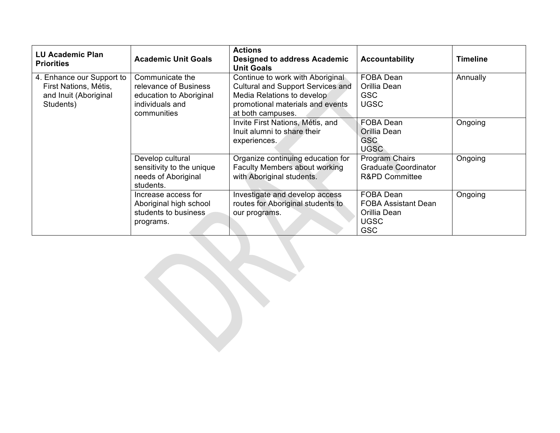| <b>LU Academic Plan</b><br><b>Priorities</b>                                             | <b>Academic Unit Goals</b>                                                                            | <b>Actions</b><br><b>Designed to address Academic</b><br><b>Unit Goals</b>                                                                                   | <b>Accountability</b>                                                                | <b>Timeline</b> |
|------------------------------------------------------------------------------------------|-------------------------------------------------------------------------------------------------------|--------------------------------------------------------------------------------------------------------------------------------------------------------------|--------------------------------------------------------------------------------------|-----------------|
| 4. Enhance our Support to<br>First Nations, Métis,<br>and Inuit (Aboriginal<br>Students) | Communicate the<br>relevance of Business<br>education to Aboriginal<br>individuals and<br>communities | Continue to work with Aboriginal<br>Cultural and Support Services and<br>Media Relations to develop<br>promotional materials and events<br>at both campuses. | FOBA Dean<br>Orillia Dean<br><b>GSC</b><br><b>UGSC</b>                               | Annually        |
|                                                                                          |                                                                                                       | Invite First Nations, Métis, and<br>Inuit alumni to share their<br>experiences.                                                                              | <b>FOBA Dean</b><br>Orillia Dean<br>GSC.<br><b>UGSC</b>                              | Ongoing         |
|                                                                                          | Develop cultural<br>sensitivity to the unique<br>needs of Aboriginal<br>students.                     | Organize continuing education for<br><b>Faculty Members about working</b><br>with Aboriginal students.                                                       | Program Chairs<br>Graduate Coordinator<br><b>R&amp;PD Committee</b>                  | Ongoing         |
|                                                                                          | Increase access for<br>Aboriginal high school<br>students to business<br>programs.                    | Investigate and develop access<br>routes for Aboriginal students to<br>our programs.                                                                         | FOBA Dean<br><b>FOBA Assistant Dean</b><br>Orillia Dean<br><b>UGSC</b><br><b>GSC</b> | Ongoing         |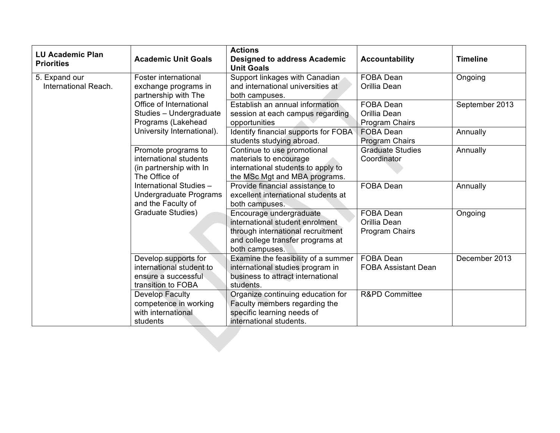| <b>LU Academic Plan</b><br><b>Priorities</b> | <b>Academic Unit Goals</b>                                                                                                                                           | <b>Actions</b><br><b>Designed to address Academic</b><br><b>Unit Goals</b>                                                                            | <b>Accountability</b>                              | <b>Timeline</b> |
|----------------------------------------------|----------------------------------------------------------------------------------------------------------------------------------------------------------------------|-------------------------------------------------------------------------------------------------------------------------------------------------------|----------------------------------------------------|-----------------|
| 5. Expand our<br>International Reach.        | Foster international<br>exchange programs in<br>partnership with The                                                                                                 | Support linkages with Canadian<br>and international universities at<br>both campuses.                                                                 | <b>FOBA Dean</b><br>Orillia Dean                   | Ongoing         |
|                                              | Office of International<br>Studies - Undergraduate<br>Programs (Lakehead                                                                                             | Establish an annual information<br>session at each campus regarding<br>opportunities                                                                  | <b>FOBA Dean</b><br>Orillia Dean<br>Program Chairs | September 2013  |
|                                              | University International).                                                                                                                                           | Identify financial supports for FOBA<br>students studying abroad.                                                                                     | FOBA Dean<br>Program Chairs                        | Annually        |
|                                              | Promote programs to<br>international students<br>(in partnership with In<br>The Office of<br>International Studies -<br>Undergraduate Programs<br>and the Faculty of | Continue to use promotional<br>materials to encourage<br>international students to apply to<br>the MSc Mgt and MBA programs.                          | <b>Graduate Studies</b><br>Coordinator             | Annually        |
|                                              |                                                                                                                                                                      | Provide financial assistance to<br>excellent international students at<br>both campuses.                                                              | <b>FOBA Dean</b>                                   | Annually        |
|                                              | <b>Graduate Studies)</b>                                                                                                                                             | Encourage undergraduate<br>international student enrolment<br>through international recruitment<br>and college transfer programs at<br>both campuses. | FOBA Dean<br>Orillia Dean<br>Program Chairs        | Ongoing         |
|                                              | Develop supports for<br>international student to<br>ensure a successful<br>transition to FOBA                                                                        | Examine the feasibility of a summer<br>international studies program in<br>business to attract international<br>students.                             | <b>FOBA Dean</b><br><b>FOBA Assistant Dean</b>     | December 2013   |
|                                              | Develop Faculty<br>competence in working<br>with international<br>students                                                                                           | Organize continuing education for<br>Faculty members regarding the<br>specific learning needs of<br>international students.                           | <b>R&amp;PD Committee</b>                          |                 |